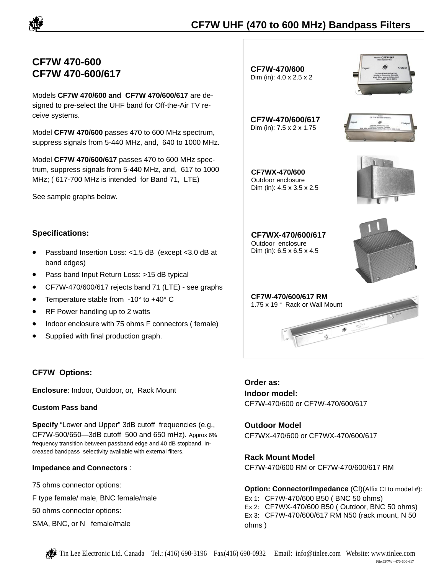

# **CF7W 470-600 CF7W 470-600/617**

Models **CF7W 470/600 and CF7W 470/600/617** are designed to pre-select the UHF band for Off-the-Air TV receive systems.

Model **CF7W 470/600** passes 470 to 600 MHz spectrum, suppress signals from 5-440 MHz, and, 640 to 1000 MHz.

Model **CF7W 470/600/617** passes 470 to 600 MHz spectrum, suppress signals from 5-440 MHz, and, 617 to 1000 MHz; ( 617-700 MHz is intended for Band 71, LTE)

See sample graphs below.

## **Specifications:**

- Passband Insertion Loss: <1.5 dB (except <3.0 dB at band edges)
- Pass band Input Return Loss: >15 dB typical
- CF7W-470/600/617 rejects band 71 (LTE) see graphs
- Temperature stable from -10° to +40° C
- RF Power handling up to 2 watts
- Indoor enclosure with 75 ohms F connectors (female)
- Supplied with final production graph.

## **CF7W Options:**

**Enclosure**: Indoor, Outdoor, or, Rack Mount

#### **Custom Pass band**

**Specify** "Lower and Upper" 3dB cutoff frequencies (e.g., CF7W-500/650—3dB cutoff 500 and 650 mHz). Approx 6% frequency transition between passband edge and 40 dB stopband. Increased bandpass selectivity available with external filters.

#### **Impedance and Connectors** :

75 ohms connector options: F type female/ male, BNC female/male 50 ohms connector options:

SMA, BNC, or N female/male



# **Order as: Indoor model:**  CF7W-470/600 or CF7W-470/600/617

**Outdoor Model**  CF7WX-470/600 or CF7WX-470/600/617

**Rack Mount Model**  CF7W-470/600 RM or CF7W-470/600/617 RM

**Option: Connector/Impedance (CI)(Affix CI to model #):** Ex 1: CF7W-470/600 B50 ( BNC 50 ohms) Ex 2: CF7WX-470/600 B50 ( Outdoor, BNC 50 ohms) Ex 3: CF7W-470/600/617 RM N50 (rack mount, N 50 ohms )